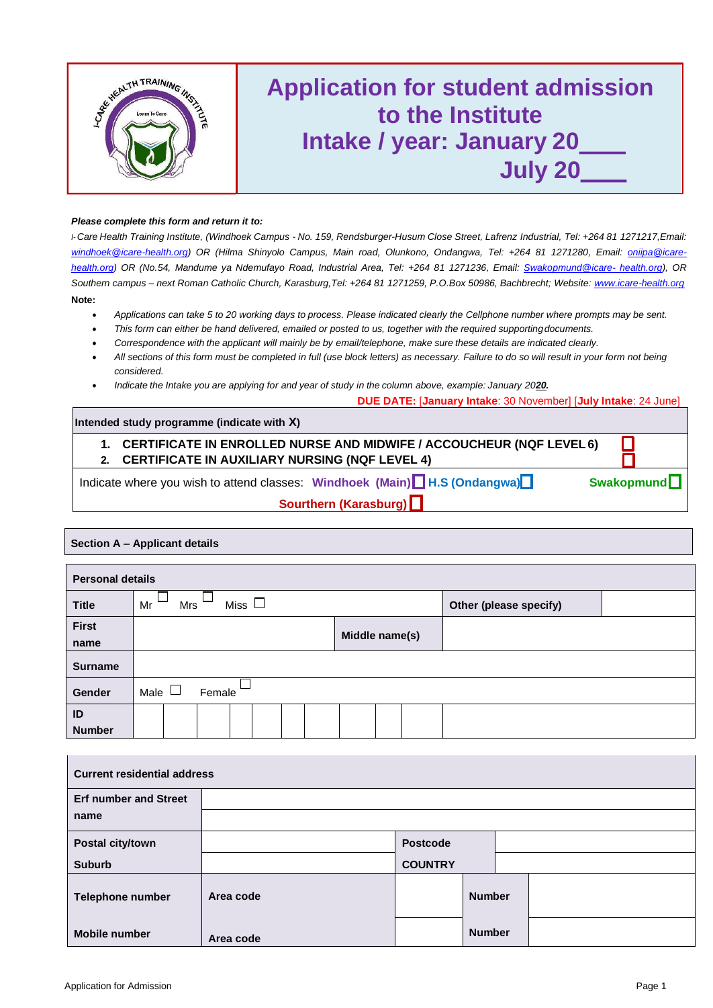

#### *Please complete this form and return it to:*

I-Care Health Training Institute, (Windhoek Campus - No. 159, Rendsburger-Husum Close Street, Lafrenz Industrial, Tel[:](mailto:windhoek@icare-health.org) +264 81 1271217, Email: *[windhoek@icare-health.org\)](mailto:windhoek@icare-health.org) OR (Hilma Shinyolo Campus, Main road, Olunkono, Ondangwa, Tel: +264 81 1271280, Email: [oniipa@icare](mailto:oniipa@icare-health.org)[health.org\)](mailto:oniipa@icare-health.org) OR (No.54, Mandume ya Ndemufayo Road, Industrial Area, Tel: +264 81 1271236, Email: [Swakopmund@icare-](mailto:Swakopmund@icare-health.org) [health.org\), O](mailto:Swakopmund@icare-health.org)R Southern campus – next Roman Catholic Church, Karasburg,Tel: +264 81 1271259, P.O.Box 50986, Bachbrecht; Website: [www.icare-health.org](http://www.icare-health.org/)* **Note:**

- *Applications can take 5 to 20 working days to process. Please indicated clearly the Cellphone number where prompts may be sent.*
- *This form can either be hand delivered, emailed or posted to us, together with the required supportingdocuments.*
- *Correspondence with the applicant will mainly be by email/telephone, make sure these details are indicated clearly.*
- *All sections of this form must be completed in full (use block letters) as necessary. Failure to do so will result in your form not being considered.*
- Indicate the Intake you are applying for and year of study in the column above, example: January 2020.

**DUE DATE:** [**January Intake**: 30 November] [**July Intake**: 24 June]

| Intended study programme (indicate with X)                                                                                             |  |  |  |  |  |  |  |  |  |
|----------------------------------------------------------------------------------------------------------------------------------------|--|--|--|--|--|--|--|--|--|
| <b>CERTIFICATE IN ENROLLED NURSE AND MIDWIFE / ACCOUCHEUR (NQF LEVEL 6)</b><br>1.<br>2. CERTIFICATE IN AUXILIARY NURSING (NQF LEVEL 4) |  |  |  |  |  |  |  |  |  |
|                                                                                                                                        |  |  |  |  |  |  |  |  |  |
| Indicate where you wish to attend classes: Windhoek (Main) $\Box$ H.S (Ondangwa) $\Box$<br>Swakopmund $\Box$                           |  |  |  |  |  |  |  |  |  |
| Sourthern (Karasburg)                                                                                                                  |  |  |  |  |  |  |  |  |  |

|                         | Section A - Applicant details   |                        |  |  |  |  |  |  |  |  |  |
|-------------------------|---------------------------------|------------------------|--|--|--|--|--|--|--|--|--|
| <b>Personal details</b> |                                 |                        |  |  |  |  |  |  |  |  |  |
| <b>Title</b>            | Miss $\Box$<br>Mr<br><b>Mrs</b> | Other (please specify) |  |  |  |  |  |  |  |  |  |
| <b>First</b><br>name    | Middle name(s)                  |                        |  |  |  |  |  |  |  |  |  |
| <b>Surname</b>          |                                 |                        |  |  |  |  |  |  |  |  |  |
| Gender                  | Male $\Box$<br>Female           |                        |  |  |  |  |  |  |  |  |  |
| ID                      |                                 |                        |  |  |  |  |  |  |  |  |  |

| <b>Current residential address</b> |           |                 |               |  |  |  |  |  |  |  |
|------------------------------------|-----------|-----------------|---------------|--|--|--|--|--|--|--|
| <b>Erf number and Street</b>       |           |                 |               |  |  |  |  |  |  |  |
| name                               |           |                 |               |  |  |  |  |  |  |  |
| Postal city/town                   |           | <b>Postcode</b> |               |  |  |  |  |  |  |  |
| <b>Suburb</b>                      |           | <b>COUNTRY</b>  |               |  |  |  |  |  |  |  |
| Telephone number                   | Area code |                 | <b>Number</b> |  |  |  |  |  |  |  |
| <b>Mobile number</b>               | Area code |                 | <b>Number</b> |  |  |  |  |  |  |  |

**Number**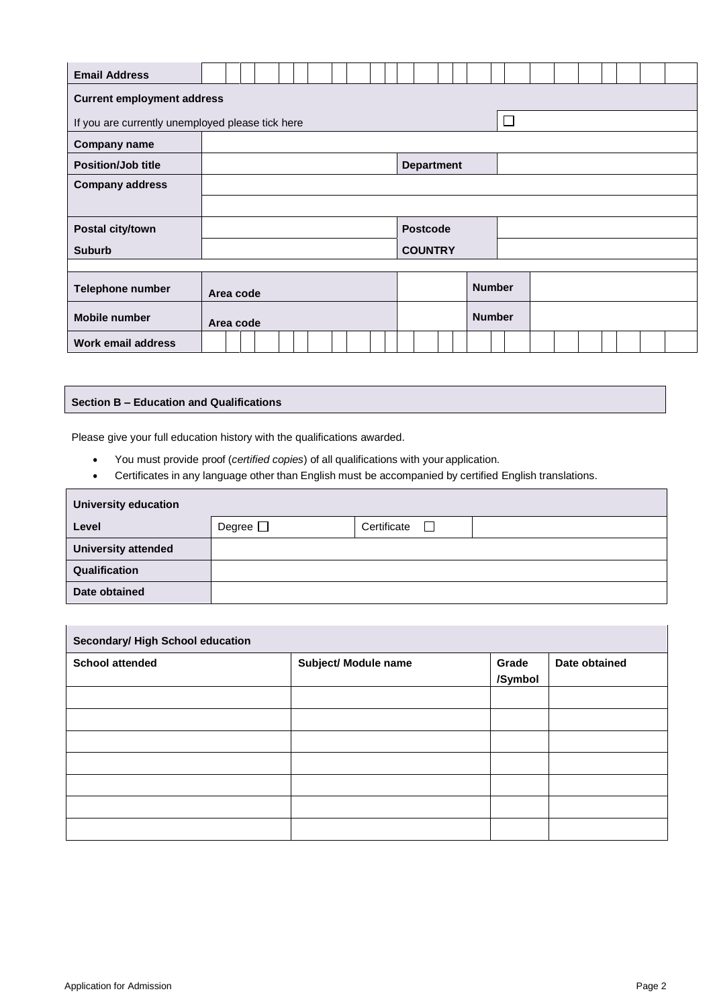| <b>Email Address</b>                                       |  |           |  |  |  |  |  |  |  |               |                   |                 |  |  |               |  |  |  |  |  |  |  |  |  |
|------------------------------------------------------------|--|-----------|--|--|--|--|--|--|--|---------------|-------------------|-----------------|--|--|---------------|--|--|--|--|--|--|--|--|--|
| <b>Current employment address</b>                          |  |           |  |  |  |  |  |  |  |               |                   |                 |  |  |               |  |  |  |  |  |  |  |  |  |
| $\Box$<br>If you are currently unemployed please tick here |  |           |  |  |  |  |  |  |  |               |                   |                 |  |  |               |  |  |  |  |  |  |  |  |  |
| <b>Company name</b>                                        |  |           |  |  |  |  |  |  |  |               |                   |                 |  |  |               |  |  |  |  |  |  |  |  |  |
| <b>Position/Job title</b>                                  |  |           |  |  |  |  |  |  |  |               | <b>Department</b> |                 |  |  |               |  |  |  |  |  |  |  |  |  |
| <b>Company address</b>                                     |  |           |  |  |  |  |  |  |  |               |                   |                 |  |  |               |  |  |  |  |  |  |  |  |  |
|                                                            |  |           |  |  |  |  |  |  |  |               |                   |                 |  |  |               |  |  |  |  |  |  |  |  |  |
| Postal city/town                                           |  |           |  |  |  |  |  |  |  |               |                   | <b>Postcode</b> |  |  |               |  |  |  |  |  |  |  |  |  |
| <b>Suburb</b>                                              |  |           |  |  |  |  |  |  |  |               |                   | <b>COUNTRY</b>  |  |  |               |  |  |  |  |  |  |  |  |  |
|                                                            |  |           |  |  |  |  |  |  |  |               |                   |                 |  |  |               |  |  |  |  |  |  |  |  |  |
| Telephone number                                           |  | Area code |  |  |  |  |  |  |  |               |                   |                 |  |  | <b>Number</b> |  |  |  |  |  |  |  |  |  |
| <b>Mobile number</b>                                       |  | Area code |  |  |  |  |  |  |  | <b>Number</b> |                   |                 |  |  |               |  |  |  |  |  |  |  |  |  |
| <b>Work email address</b>                                  |  |           |  |  |  |  |  |  |  |               |                   |                 |  |  |               |  |  |  |  |  |  |  |  |  |

### **Section B – Education and Qualifications**

Please give your full education history with the qualifications awarded.

- You must provide proof (*certified copies*) of all qualifications with your application.
- Certificates in any language other than English must be accompanied by certified English translations.

| <b>University education</b> |               |                       |  |  |  |  |  |  |  |  |  |
|-----------------------------|---------------|-----------------------|--|--|--|--|--|--|--|--|--|
| Level                       | Degree $\Box$ | Certificate<br>$\Box$ |  |  |  |  |  |  |  |  |  |
| <b>University attended</b>  |               |                       |  |  |  |  |  |  |  |  |  |
| Qualification               |               |                       |  |  |  |  |  |  |  |  |  |
| Date obtained               |               |                       |  |  |  |  |  |  |  |  |  |

| Secondary/ High School education |                      |                  |               |  |  |  |  |  |  |
|----------------------------------|----------------------|------------------|---------------|--|--|--|--|--|--|
| <b>School attended</b>           | Subject/ Module name | Grade<br>/Symbol | Date obtained |  |  |  |  |  |  |
|                                  |                      |                  |               |  |  |  |  |  |  |
|                                  |                      |                  |               |  |  |  |  |  |  |
|                                  |                      |                  |               |  |  |  |  |  |  |
|                                  |                      |                  |               |  |  |  |  |  |  |
|                                  |                      |                  |               |  |  |  |  |  |  |
|                                  |                      |                  |               |  |  |  |  |  |  |
|                                  |                      |                  |               |  |  |  |  |  |  |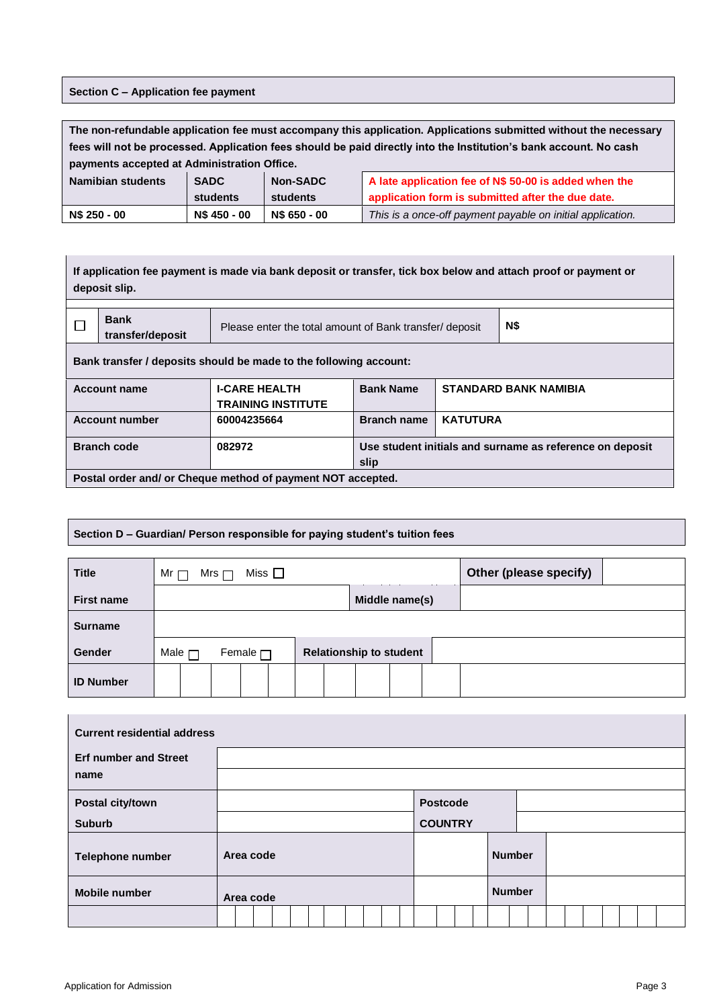## **Section C – Application fee payment**

| The non-refundable application fee must accompany this application. Applications submitted without the necessary  |              |                                                                            |                                                       |  |  |  |  |  |  |  |
|-------------------------------------------------------------------------------------------------------------------|--------------|----------------------------------------------------------------------------|-------------------------------------------------------|--|--|--|--|--|--|--|
| fees will not be processed. Application fees should be paid directly into the Institution's bank account. No cash |              |                                                                            |                                                       |  |  |  |  |  |  |  |
| payments accepted at Administration Office.                                                                       |              |                                                                            |                                                       |  |  |  |  |  |  |  |
| Namibian students                                                                                                 | <b>SADC</b>  | Non-SADC                                                                   | A late application fee of N\$ 50-00 is added when the |  |  |  |  |  |  |  |
|                                                                                                                   | students     | students                                                                   | application form is submitted after the due date.     |  |  |  |  |  |  |  |
| N\$ 250 - 00                                                                                                      | N\$ 450 - 00 | N\$ 650 - 00<br>This is a once-off payment payable on initial application. |                                                       |  |  |  |  |  |  |  |

| If application fee payment is made via bank deposit or transfer, tick box below and attach proof or payment or<br>deposit slip. |                                                   |                                                          |                 |                              |  |  |  |  |  |  |  |
|---------------------------------------------------------------------------------------------------------------------------------|---------------------------------------------------|----------------------------------------------------------|-----------------|------------------------------|--|--|--|--|--|--|--|
| <b>Bank</b><br>N\$<br>Please enter the total amount of Bank transfer/ deposit<br>transfer/deposit                               |                                                   |                                                          |                 |                              |  |  |  |  |  |  |  |
| Bank transfer / deposits should be made to the following account:                                                               |                                                   |                                                          |                 |                              |  |  |  |  |  |  |  |
| <b>Account name</b>                                                                                                             | <b>I-CARE HEALTH</b><br><b>TRAINING INSTITUTE</b> | <b>Bank Name</b>                                         |                 | <b>STANDARD BANK NAMIBIA</b> |  |  |  |  |  |  |  |
| <b>Account number</b>                                                                                                           | 60004235664                                       | <b>Branch name</b>                                       | <b>KATUTURA</b> |                              |  |  |  |  |  |  |  |
| <b>Branch code</b>                                                                                                              | 082972                                            | Use student initials and surname as reference on deposit |                 |                              |  |  |  |  |  |  |  |
| slip<br>Postal order and/ or Cheque method of payment NOT accepted.                                                             |                                                   |                                                          |                 |                              |  |  |  |  |  |  |  |

# **Section D – Guardian/ Person responsible for paying student's tuition fees**

| <b>Title</b>      | Miss $\Box$<br>Mr $\Box$<br>Mrs $\Box$ |                                | Other (please specify) |
|-------------------|----------------------------------------|--------------------------------|------------------------|
| <b>First name</b> |                                        | Middle name(s)                 |                        |
| <b>Surname</b>    |                                        |                                |                        |
| <b>Gender</b>     | Male $\Box$<br>Female $\Box$           | <b>Relationship to student</b> |                        |
| <b>ID Number</b>  |                                        |                                |                        |

| <b>Current residential address</b>   |           |  |           |  |  |  |  |               |  |                 |  |               |  |  |  |  |  |  |  |  |  |
|--------------------------------------|-----------|--|-----------|--|--|--|--|---------------|--|-----------------|--|---------------|--|--|--|--|--|--|--|--|--|
| <b>Erf number and Street</b><br>name |           |  |           |  |  |  |  |               |  |                 |  |               |  |  |  |  |  |  |  |  |  |
| Postal city/town                     |           |  |           |  |  |  |  |               |  | <b>Postcode</b> |  |               |  |  |  |  |  |  |  |  |  |
| <b>Suburb</b>                        |           |  |           |  |  |  |  |               |  | <b>COUNTRY</b>  |  |               |  |  |  |  |  |  |  |  |  |
| <b>Telephone number</b>              |           |  | Area code |  |  |  |  |               |  |                 |  | <b>Number</b> |  |  |  |  |  |  |  |  |  |
| <b>Mobile number</b>                 | Area code |  |           |  |  |  |  | <b>Number</b> |  |                 |  |               |  |  |  |  |  |  |  |  |  |
|                                      |           |  |           |  |  |  |  |               |  |                 |  |               |  |  |  |  |  |  |  |  |  |